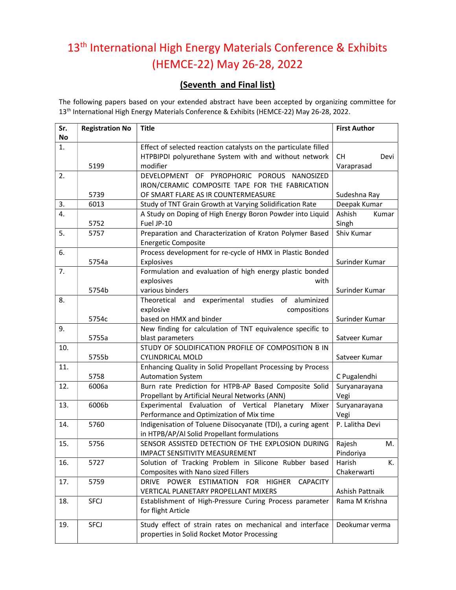## 13<sup>th</sup> International High Energy Materials Conference & Exhibits (HEMCE-22) May 26-28, 2022

## (Seventh and Final list)

The following papers based on your extended abstract have been accepted by organizing committee for 13<sup>th</sup> International High Energy Materials Conference & Exhibits (HEMCE-22) May 26-28, 2022.

| Sr.<br>No | <b>Registration No</b> | <b>Title</b>                                                                                                                         | <b>First Author</b>             |
|-----------|------------------------|--------------------------------------------------------------------------------------------------------------------------------------|---------------------------------|
| 1.        | 5199                   | Effect of selected reaction catalysts on the particulate filled<br>HTPBIPDI polyurethane System with and without network<br>modifier | <b>CH</b><br>Devi<br>Varaprasad |
| 2.        |                        | DEVELOPMENT OF PYROPHORIC POROUS NANOSIZED                                                                                           |                                 |
|           |                        | IRON/CERAMIC COMPOSITE TAPE FOR THE FABRICATION                                                                                      |                                 |
|           | 5739                   | OF SMART FLARE AS IR COUNTERMEASURE                                                                                                  | Sudeshna Ray                    |
| 3.        | 6013                   | Study of TNT Grain Growth at Varying Solidification Rate                                                                             | Deepak Kumar                    |
| 4.        |                        | A Study on Doping of High Energy Boron Powder into Liquid                                                                            | Ashish<br>Kumar                 |
|           | 5752                   | Fuel JP-10                                                                                                                           | Singh                           |
| 5.        | 5757                   | Preparation and Characterization of Kraton Polymer Based<br><b>Energetic Composite</b>                                               | Shiv Kumar                      |
| 6.        |                        | Process development for re-cycle of HMX in Plastic Bonded                                                                            |                                 |
|           | 5754a                  | Explosives                                                                                                                           | Surinder Kumar                  |
| 7.        |                        | Formulation and evaluation of high energy plastic bonded                                                                             |                                 |
|           |                        | explosives<br>with                                                                                                                   |                                 |
|           | 5754b                  | various binders                                                                                                                      | Surinder Kumar                  |
| 8.        |                        | Theoretical and experimental studies of aluminized                                                                                   |                                 |
|           |                        | explosive<br>compositions                                                                                                            |                                 |
|           | 5754c                  | based on HMX and binder                                                                                                              | Surinder Kumar                  |
| 9.        |                        | New finding for calculation of TNT equivalence specific to                                                                           |                                 |
|           | 5755a                  | blast parameters                                                                                                                     | Satveer Kumar                   |
| 10.       |                        | STUDY OF SOLIDIFICATION PROFILE OF COMPOSITION B IN                                                                                  |                                 |
|           | 5755b                  | <b>CYLINDRICAL MOLD</b>                                                                                                              | Satveer Kumar                   |
| 11.       |                        | Enhancing Quality in Solid Propellant Processing by Process                                                                          |                                 |
|           | 5758                   | <b>Automation System</b>                                                                                                             | C Pugalendhi                    |
| 12.       | 6006a                  | Burn rate Prediction for HTPB-AP Based Composite Solid                                                                               | Suryanarayana                   |
|           |                        | Propellant by Artificial Neural Networks (ANN)                                                                                       | Vegi                            |
| 13.       | 6006b                  | Experimental Evaluation of Vertical Planetary<br>Mixer                                                                               | Suryanarayana                   |
|           |                        | Performance and Optimization of Mix time                                                                                             | Vegi                            |
| 14.       | 5760                   | Indigenisation of Toluene Diisocyanate (TDI), a curing agent<br>in HTPB/AP/Al Solid Propellant formulations                          | P. Lalitha Devi                 |
| 15.       | 5756                   | SENSOR ASSISTED DETECTION OF THE EXPLOSION DURING                                                                                    | Rajesh<br>М.                    |
|           |                        | IMPACT SENSITIVITY MEASUREMENT                                                                                                       | Pindoriya                       |
| 16.       | 5727                   | Solution of Tracking Problem in Silicone Rubber based                                                                                | Harish<br>К.                    |
|           |                        | Composites with Nano sized Fillers                                                                                                   | Chakerwarti                     |
| 17.       | 5759                   | POWER ESTIMATION<br><b>DRIVE</b><br><b>FOR</b><br><b>CAPACITY</b><br><b>HIGHER</b>                                                   |                                 |
|           |                        | VERTICAL PLANETARY PROPELLANT MIXERS                                                                                                 | Ashish Pattnaik                 |
| 18.       | SFCJ                   | Establishment of High-Pressure Curing Process parameter<br>for flight Article                                                        | Rama M Krishna                  |
| 19.       | SFCJ                   | Study effect of strain rates on mechanical and interface                                                                             | Deokumar verma                  |
|           |                        | properties in Solid Rocket Motor Processing                                                                                          |                                 |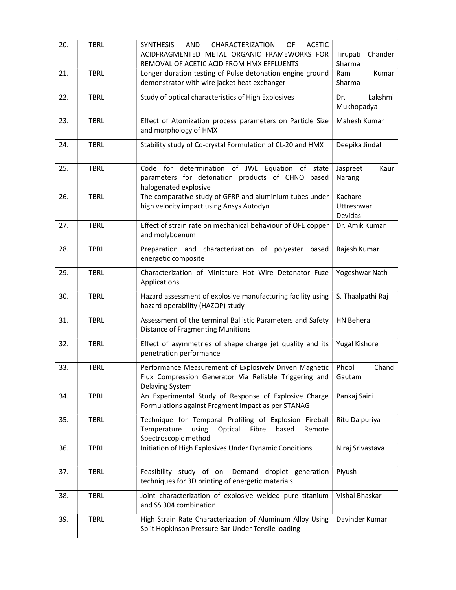| 20. | <b>TBRL</b> | <b>SYNTHESIS</b><br><b>AND</b><br>CHARACTERIZATION<br><b>ACETIC</b><br>OF<br>ACIDFRAGMENTED METAL ORGANIC FRAMEWORKS FOR<br>REMOVAL OF ACETIC ACID FROM HMX EFFLUENTS | Chander<br>Tirupati<br>Sharma    |
|-----|-------------|-----------------------------------------------------------------------------------------------------------------------------------------------------------------------|----------------------------------|
| 21. | <b>TBRL</b> | Longer duration testing of Pulse detonation engine ground<br>demonstrator with wire jacket heat exchanger                                                             | Kumar<br>Ram<br>Sharma           |
| 22. | <b>TBRL</b> | Study of optical characteristics of High Explosives                                                                                                                   | Lakshmi<br>Dr.<br>Mukhopadya     |
| 23. | <b>TBRL</b> | Effect of Atomization process parameters on Particle Size<br>and morphology of HMX                                                                                    | Mahesh Kumar                     |
| 24. | <b>TBRL</b> | Stability study of Co-crystal Formulation of CL-20 and HMX                                                                                                            | Deepika Jindal                   |
| 25. | <b>TBRL</b> | Code for determination of JWL Equation of state<br>parameters for detonation products of CHNO based<br>halogenated explosive                                          | Jaspreet<br>Kaur<br>Narang       |
| 26. | <b>TBRL</b> | The comparative study of GFRP and aluminium tubes under<br>high velocity impact using Ansys Autodyn                                                                   | Kachare<br>Uttreshwar<br>Devidas |
| 27. | <b>TBRL</b> | Effect of strain rate on mechanical behaviour of OFE copper<br>and molybdenum                                                                                         | Dr. Amik Kumar                   |
| 28. | <b>TBRL</b> | Preparation and characterization of polyester based<br>energetic composite                                                                                            | Rajesh Kumar                     |
| 29. | <b>TBRL</b> | Characterization of Miniature Hot Wire Detonator Fuze<br>Applications                                                                                                 | Yogeshwar Nath                   |
| 30. | <b>TBRL</b> | Hazard assessment of explosive manufacturing facility using<br>hazard operability (HAZOP) study                                                                       | S. Thaalpathi Raj                |
| 31. | <b>TBRL</b> | Assessment of the terminal Ballistic Parameters and Safety<br><b>Distance of Fragmenting Munitions</b>                                                                | HN Behera                        |
| 32. | <b>TBRL</b> | Effect of asymmetries of shape charge jet quality and its<br>penetration performance                                                                                  | Yugal Kishore                    |
| 33. | <b>TBRL</b> | Performance Measurement of Explosively Driven Magnetic<br>Flux Compression Generator Via Reliable Triggering and<br>Delaying System                                   | Phool<br>Chand<br>Gautam         |
| 34. | <b>TBRL</b> | An Experimental Study of Response of Explosive Charge<br>Formulations against Fragment impact as per STANAG                                                           | Pankaj Saini                     |
| 35. | <b>TBRL</b> | Technique for Temporal Profiling of Explosion Fireball<br>Temperature<br>using<br>Optical<br>Fibre<br>based<br>Remote<br>Spectroscopic method                         | Ritu Daipuriya                   |
| 36. | <b>TBRL</b> | Initiation of High Explosives Under Dynamic Conditions                                                                                                                | Niraj Srivastava                 |
| 37. | <b>TBRL</b> | Feasibility study of on- Demand droplet generation<br>techniques for 3D printing of energetic materials                                                               | Piyush                           |
| 38. | <b>TBRL</b> | Joint characterization of explosive welded pure titanium<br>and SS 304 combination                                                                                    | Vishal Bhaskar                   |
| 39. | <b>TBRL</b> | High Strain Rate Characterization of Aluminum Alloy Using<br>Split Hopkinson Pressure Bar Under Tensile loading                                                       | Davinder Kumar                   |